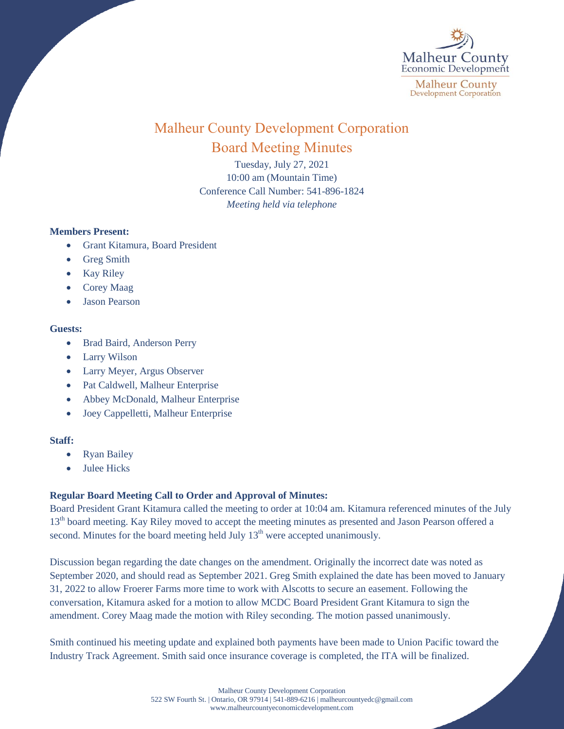

# Malheur County Development Corporation Board Meeting Minutes

Tuesday, July 27, 2021 10:00 am (Mountain Time) Conference Call Number: 541-896-1824 *Meeting held via telephone*

# **Members Present:**

- Grant Kitamura, Board President
- Greg Smith
- Kay Riley
- Corey Maag
- Jason Pearson

### **Guests:**

- Brad Baird, Anderson Perry
- Larry Wilson
- Larry Meyer, Argus Observer
- Pat Caldwell, Malheur Enterprise
- Abbey McDonald, Malheur Enterprise
- Joey Cappelletti, Malheur Enterprise

# **Staff:**

- Ryan Bailey
- $\bullet$  Julee Hicks

# **Regular Board Meeting Call to Order and Approval of Minutes:**

Board President Grant Kitamura called the meeting to order at 10:04 am. Kitamura referenced minutes of the July 13<sup>th</sup> board meeting. Kay Riley moved to accept the meeting minutes as presented and Jason Pearson offered a second. Minutes for the board meeting held July  $13<sup>th</sup>$  were accepted unanimously.

Discussion began regarding the date changes on the amendment. Originally the incorrect date was noted as September 2020, and should read as September 2021. Greg Smith explained the date has been moved to January 31, 2022 to allow Froerer Farms more time to work with Alscotts to secure an easement. Following the conversation, Kitamura asked for a motion to allow MCDC Board President Grant Kitamura to sign the amendment. Corey Maag made the motion with Riley seconding. The motion passed unanimously.

Smith continued his meeting update and explained both payments have been made to Union Pacific toward the Industry Track Agreement. Smith said once insurance coverage is completed, the ITA will be finalized.